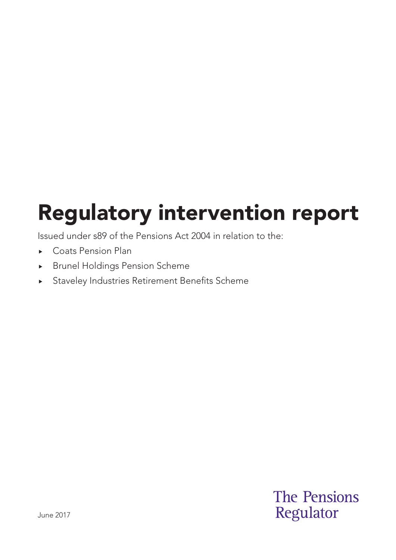# Regulatory intervention report

Issued under s89 of the Pensions Act 2004 in relation to the:

- ▶ Coats Pension Plan
- Brunel Holdings Pension Scheme
- Staveley Industries Retirement Benefits Scheme

**The Pensions** Regulator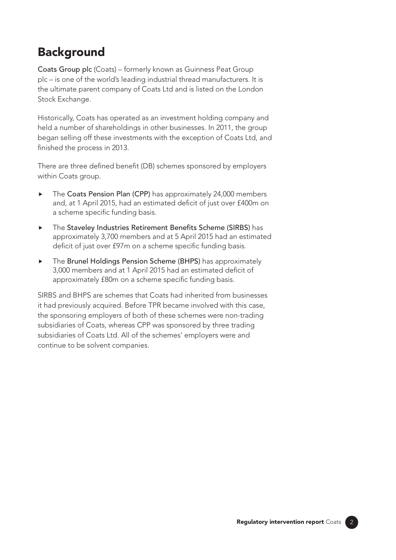### **Background**

Coats Group plc (Coats) – formerly known as Guinness Peat Group plc – is one of the world's leading industrial thread manufacturers. It is the ultimate parent company of Coats Ltd and is listed on the London Stock Exchange.

Historically, Coats has operated as an investment holding company and held a number of shareholdings in other businesses. In 2011, the group began selling off these investments with the exception of Coats Ltd, and finished the process in 2013.

There are three defined benefit (DB) schemes sponsored by employers within Coats group.

- ▶ The Coats Pension Plan (CPP) has approximately 24,000 members and, at 1 April 2015, had an estimated deficit of just over £400m on a scheme specific funding basis.
- $\triangleright$  The Staveley Industries Retirement Benefits Scheme (SIRBS) has approximately 3,700 members and at 5 April 2015 had an estimated deficit of just over £97m on a scheme specific funding basis.
- ▶ The Brunel Holdings Pension Scheme (BHPS) has approximately 3,000 members and at 1 April 2015 had an estimated deficit of approximately £80m on a scheme specific funding basis.

SIRBS and BHPS are schemes that Coats had inherited from businesses it had previously acquired. Before TPR became involved with this case, the sponsoring employers of both of these schemes were non-trading subsidiaries of Coats, whereas CPP was sponsored by three trading subsidiaries of Coats Ltd. All of the schemes' employers were and continue to be solvent companies.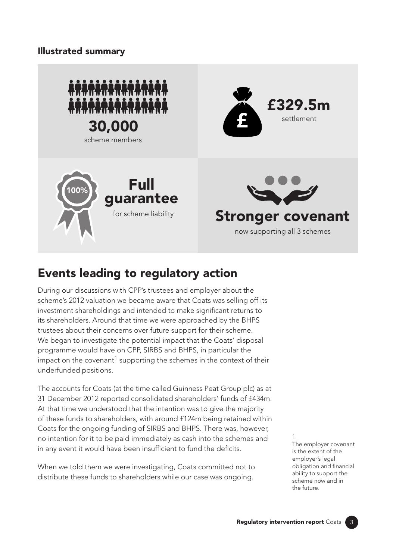### Illustrated summary



### Events leading to regulatory action

During our discussions with CPP's trustees and employer about the scheme's 2012 valuation we became aware that Coats was selling off its investment shareholdings and intended to make significant returns to its shareholders. Around that time we were approached by the BHPS trustees about their concerns over future support for their scheme. We began to investigate the potential impact that the Coats' disposal programme would have on CPP, SIRBS and BHPS, in particular the impact on the covenant<sup>1</sup> supporting the schemes in the context of their underfunded positions.

The accounts for Coats (at the time called Guinness Peat Group plc) as at 31 December 2012 reported consolidated shareholders' funds of £434m. At that time we understood that the intention was to give the majority of these funds to shareholders, with around £124m being retained within Coats for the ongoing funding of SIRBS and BHPS. There was, however, no intention for it to be paid immediately as cash into the schemes and in any event it would have been insufficient to fund the deficits.

When we told them we were investigating, Coats committed not to distribute these funds to shareholders while our case was ongoing.

1

The employer covenant is the extent of the employer's legal obligation and financial ability to support the scheme now and in the future.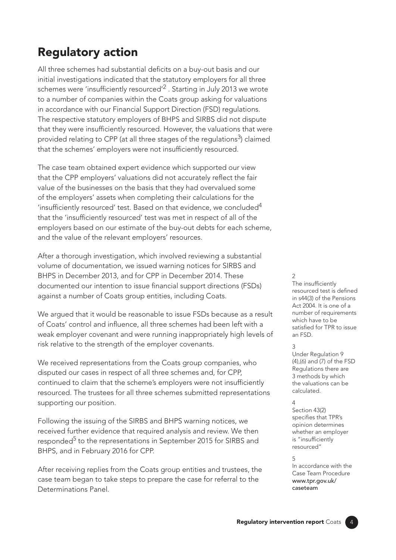### Regulatory action

All three schemes had substantial deficits on a buy-out basis and our initial investigations indicated that the statutory employers for all three schemes were 'insufficiently resourced'<sup>2</sup>. Starting in July 2013 we wrote to a number of companies within the Coats group asking for valuations in accordance with our Financial Support Direction (FSD) regulations. The respective statutory employers of BHPS and SIRBS did not dispute that they were insufficiently resourced. However, the valuations that were provided relating to CPP (at all three stages of the regulations<sup>3</sup>) claimed that the schemes' employers were not insufficiently resourced.

The case team obtained expert evidence which supported our view that the CPP employers' valuations did not accurately reflect the fair value of the businesses on the basis that they had overvalued some of the employers' assets when completing their calculations for the 'insufficiently resourced' test. Based on that evidence, we concluded4 that the 'insufficiently resourced' test was met in respect of all of the employers based on our estimate of the buy-out debts for each scheme, and the value of the relevant employers' resources.

After a thorough investigation, which involved reviewing a substantial volume of documentation, we issued warning notices for SIRBS and BHPS in December 2013, and for CPP in December 2014. These documented our intention to issue financial support directions (FSDs) against a number of Coats group entities, including Coats.

We argued that it would be reasonable to issue FSDs because as a result of Coats' control and influence, all three schemes had been left with a weak employer covenant and were running inappropriately high levels of risk relative to the strength of the employer covenants.

We received representations from the Coats group companies, who disputed our cases in respect of all three schemes and, for CPP, continued to claim that the scheme's employers were not insufficiently resourced. The trustees for all three schemes submitted representations supporting our position.

Following the issuing of the SIRBS and BHPS warning notices, we received further evidence that required analysis and review. We then responded<sup>5</sup> to the representations in September 2015 for SIRBS and BHPS, and in February 2016 for CPP.

After receiving replies from the Coats group entities and trustees, the case team began to take steps to prepare the case for referral to the Determinations Panel.

#### $\overline{2}$

The insufficiently resourced test is defined in s44(3) of the Pensions Act 2004. It is one of a number of requirements which have to be satisfied for TPR to issue an FSD.

#### 3

Under Regulation 9 (4),(6) and (7) of the FSD Regulations there are 3 methods by which the valuations can be calculated.

#### 4

Section 43(2) specifies that TPR's opinion determines whether an employer is "insufficiently resourced"

#### 5

In accordance with the Case Team Procedure [www.tpr.gov.uk/](http://www.tpr.gov.uk/caseteam) [caseteam](http://www.tpr.gov.uk/caseteam)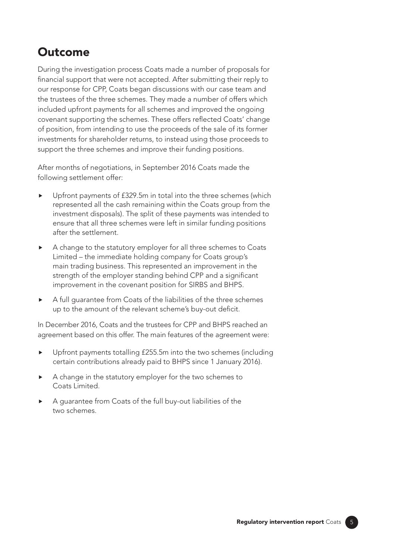### Outcome

During the investigation process Coats made a number of proposals for financial support that were not accepted. After submitting their reply to our response for CPP, Coats began discussions with our case team and the trustees of the three schemes. They made a number of offers which included upfront payments for all schemes and improved the ongoing covenant supporting the schemes. These offers reflected Coats' change of position, from intending to use the proceeds of the sale of its former investments for shareholder returns, to instead using those proceeds to support the three schemes and improve their funding positions.

After months of negotiations, in September 2016 Coats made the following settlement offer:

- Upfront payments of £329.5m in total into the three schemes (which represented all the cash remaining within the Coats group from the investment disposals). The split of these payments was intended to ensure that all three schemes were left in similar funding positions after the settlement.
- A change to the statutory employer for all three schemes to Coats Limited – the immediate holding company for Coats group's main trading business. This represented an improvement in the strength of the employer standing behind CPP and a significant improvement in the covenant position for SIRBS and BHPS.
- A full guarantee from Coats of the liabilities of the three schemes up to the amount of the relevant scheme's buy-out deficit.

In December 2016, Coats and the trustees for CPP and BHPS reached an agreement based on this offer. The main features of the agreement were:

- Upfront payments totalling £255.5m into the two schemes (including certain contributions already paid to BHPS since 1 January 2016).
- A change in the statutory employer for the two schemes to Coats Limited.
- A guarantee from Coats of the full buy-out liabilities of the two schemes.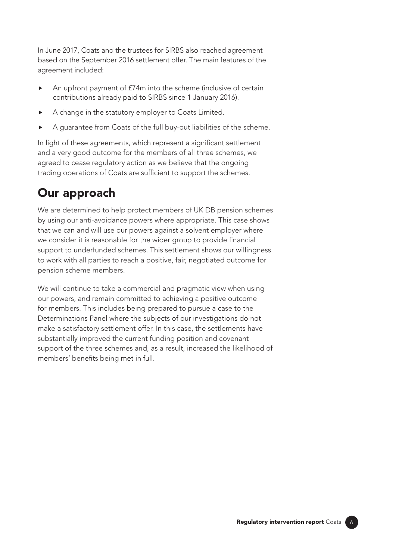In June 2017, Coats and the trustees for SIRBS also reached agreement based on the September 2016 settlement offer. The main features of the agreement included:

- An upfront payment of £74m into the scheme (inclusive of certain contributions already paid to SIRBS since 1 January 2016).
- A change in the statutory employer to Coats Limited.
- A guarantee from Coats of the full buy-out liabilities of the scheme.

In light of these agreements, which represent a significant settlement and a very good outcome for the members of all three schemes, we agreed to cease regulatory action as we believe that the ongoing trading operations of Coats are sufficient to support the schemes.

## Our approach

We are determined to help protect members of UK DB pension schemes by using our anti-avoidance powers where appropriate. This case shows that we can and will use our powers against a solvent employer where we consider it is reasonable for the wider group to provide financial support to underfunded schemes. This settlement shows our willingness to work with all parties to reach a positive, fair, negotiated outcome for pension scheme members.

We will continue to take a commercial and pragmatic view when using our powers, and remain committed to achieving a positive outcome for members. This includes being prepared to pursue a case to the Determinations Panel where the subjects of our investigations do not make a satisfactory settlement offer. In this case, the settlements have substantially improved the current funding position and covenant support of the three schemes and, as a result, increased the likelihood of members' benefits being met in full.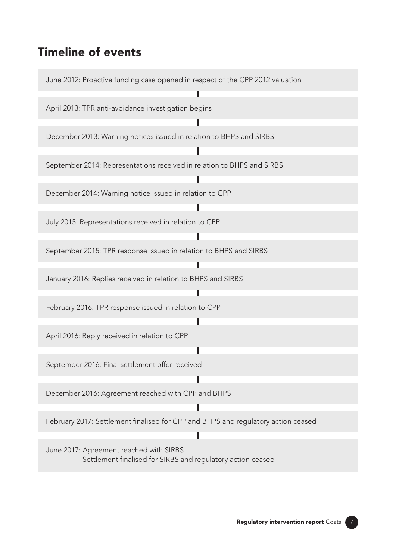### Timeline of events